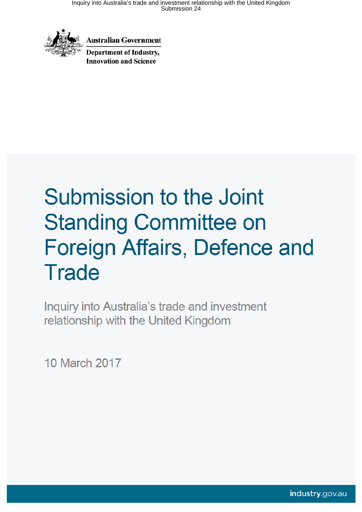

**Australian Government** 

**Department of Industry. Innovation and Science** 

# Submission to the Joint **Standing Committee on** Foreign Affairs, Defence and **Trade**

Inquiry into Australia's trade and investment relationship with the United Kingdom

10 March 2017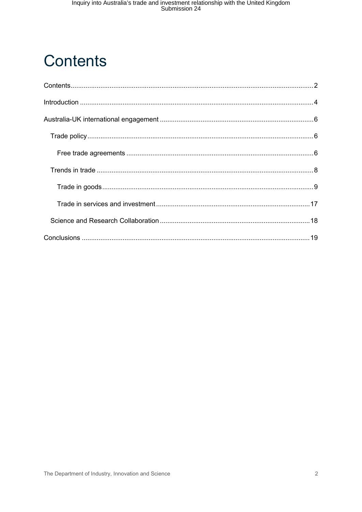## **Contents**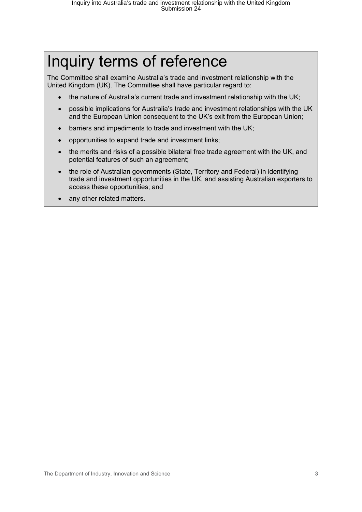## Inquiry terms of reference

The Committee shall examine Australia's trade and investment relationship with the United Kingdom (UK). The Committee shall have particular regard to:

- the nature of Australia's current trade and investment relationship with the UK;
- possible implications for Australia's trade and investment relationships with the UK and the European Union consequent to the UK's exit from the European Union;
- barriers and impediments to trade and investment with the UK;
- opportunities to expand trade and investment links;
- the merits and risks of a possible bilateral free trade agreement with the UK, and potential features of such an agreement;
- the role of Australian governments (State, Territory and Federal) in identifying trade and investment opportunities in the UK, and assisting Australian exporters to access these opportunities; and
- any other related matters.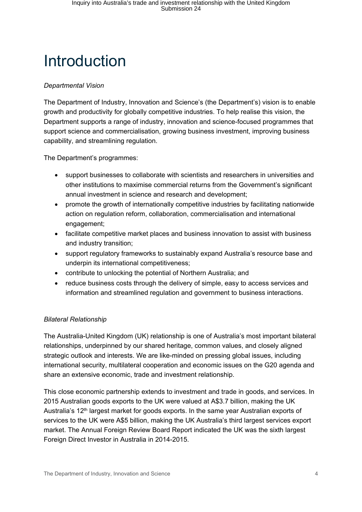## Introduction

#### *Departmental Vision*

The Department of Industry, Innovation and Science's (the Department's) vision is to enable growth and productivity for globally competitive industries. To help realise this vision, the Department supports a range of industry, innovation and science-focused programmes that support science and commercialisation, growing business investment, improving business capability, and streamlining regulation.

The Department's programmes:

- support businesses to collaborate with scientists and researchers in universities and other institutions to maximise commercial returns from the Government's significant annual investment in science and research and development;
- promote the growth of internationally competitive industries by facilitating nationwide action on regulation reform, collaboration, commercialisation and international engagement;
- facilitate competitive market places and business innovation to assist with business and industry transition;
- support regulatory frameworks to sustainably expand Australia's resource base and underpin its international competitiveness;
- contribute to unlocking the potential of Northern Australia; and
- reduce business costs through the delivery of simple, easy to access services and information and streamlined regulation and government to business interactions.

#### *Bilateral Relationship*

The Australia-United Kingdom (UK) relationship is one of Australia's most important bilateral relationships, underpinned by our shared heritage, common values, and closely aligned strategic outlook and interests. We are like-minded on pressing global issues, including international security, multilateral cooperation and economic issues on the G20 agenda and share an extensive economic, trade and investment relationship.

This close economic partnership extends to investment and trade in goods, and services. In 2015 Australian goods exports to the UK were valued at A\$3.7 billion, making the UK Australia's 12<sup>th</sup> largest market for goods exports. In the same year Australian exports of services to the UK were A\$5 billion, making the UK Australia's third largest services export market. The Annual Foreign Review Board Report indicated the UK was the sixth largest Foreign Direct Investor in Australia in 2014-2015.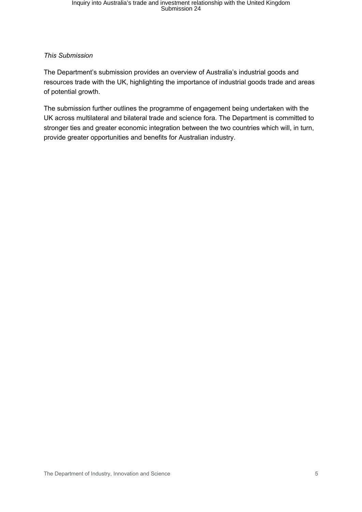#### *This Submission*

The Department's submission provides an overview of Australia's industrial goods and resources trade with the UK, highlighting the importance of industrial goods trade and areas of potential growth.

The submission further outlines the programme of engagement being undertaken with the UK across multilateral and bilateral trade and science fora. The Department is committed to stronger ties and greater economic integration between the two countries which will, in turn, provide greater opportunities and benefits for Australian industry.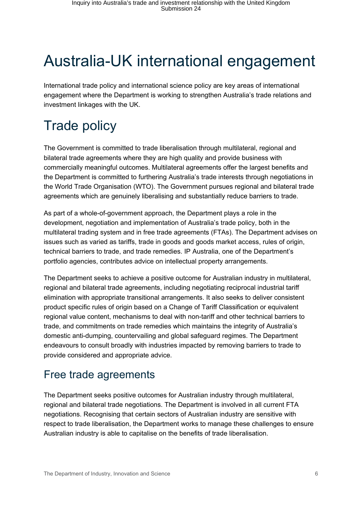## Australia-UK international engagement

International trade policy and international science policy are key areas of international engagement where the Department is working to strengthen Australia's trade relations and investment linkages with the UK.

## Trade policy

The Government is committed to trade liberalisation through multilateral, regional and bilateral trade agreements where they are high quality and provide business with commercially meaningful outcomes. Multilateral agreements offer the largest benefits and the Department is committed to furthering Australia's trade interests through negotiations in the World Trade Organisation (WTO). The Government pursues regional and bilateral trade agreements which are genuinely liberalising and substantially reduce barriers to trade.

As part of a whole-of-government approach, the Department plays a role in the development, negotiation and implementation of Australia's trade policy, both in the multilateral trading system and in free trade agreements (FTAs). The Department advises on issues such as varied as tariffs, trade in goods and goods market access, rules of origin, technical barriers to trade, and trade remedies. IP Australia, one of the Department's portfolio agencies, contributes advice on intellectual property arrangements.

The Department seeks to achieve a positive outcome for Australian industry in multilateral, regional and bilateral trade agreements, including negotiating reciprocal industrial tariff elimination with appropriate transitional arrangements. It also seeks to deliver consistent product specific rules of origin based on a Change of Tariff Classification or equivalent regional value content, mechanisms to deal with non-tariff and other technical barriers to trade, and commitments on trade remedies which maintains the integrity of Australia's domestic anti-dumping, countervailing and global safeguard regimes. The Department endeavours to consult broadly with industries impacted by removing barriers to trade to provide considered and appropriate advice.

## Free trade agreements

The Department seeks positive outcomes for Australian industry through multilateral, regional and bilateral trade negotiations. The Department is involved in all current FTA negotiations. Recognising that certain sectors of Australian industry are sensitive with respect to trade liberalisation, the Department works to manage these challenges to ensure Australian industry is able to capitalise on the benefits of trade liberalisation.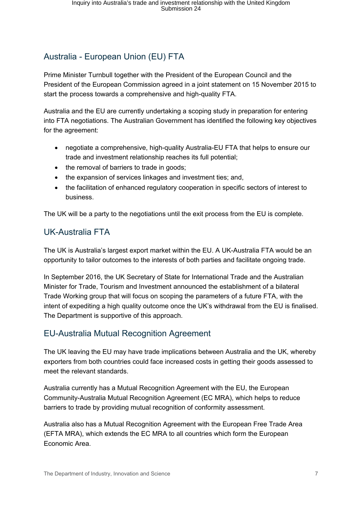## Australia - European Union (EU) FTA

Prime Minister Turnbull together with the President of the European Council and the President of the European Commission agreed in a joint statement on 15 November 2015 to start the process towards a comprehensive and high-quality FTA.

Australia and the EU are currently undertaking a scoping study in preparation for entering into FTA negotiations. The Australian Government has identified the following key objectives for the agreement:

- negotiate a comprehensive, high-quality Australia-EU FTA that helps to ensure our trade and investment relationship reaches its full potential;
- the removal of barriers to trade in goods;
- the expansion of services linkages and investment ties; and,
- the facilitation of enhanced regulatory cooperation in specific sectors of interest to business.

The UK will be a party to the negotiations until the exit process from the EU is complete.

### UK-Australia FTA

The UK is Australia's largest export market within the EU. A UK-Australia FTA would be an opportunity to tailor outcomes to the interests of both parties and facilitate ongoing trade.

In September 2016, the UK Secretary of State for International Trade and the Australian Minister for Trade, Tourism and Investment announced the establishment of a bilateral Trade Working group that will focus on scoping the parameters of a future FTA, with the intent of expediting a high quality outcome once the UK's withdrawal from the EU is finalised. The Department is supportive of this approach.

### EU-Australia Mutual Recognition Agreement

The UK leaving the EU may have trade implications between Australia and the UK, whereby exporters from both countries could face increased costs in getting their goods assessed to meet the relevant standards.

Australia currently has a Mutual Recognition Agreement with the EU, the European Community-Australia Mutual Recognition Agreement (EC MRA), which helps to reduce barriers to trade by providing mutual recognition of conformity assessment.

Australia also has a Mutual Recognition Agreement with the European Free Trade Area (EFTA MRA), which extends the EC MRA to all countries which form the European Economic Area.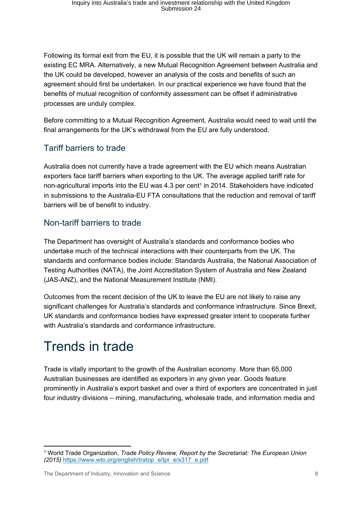Following its formal exit from the EU, it is possible that the UK will remain a party to the existing EC MRA. Alternatively, a new Mutual Recognition Agreement between Australia and the UK could be developed, however an analysis of the costs and benefits of such an agreement should first be undertaken. In our practical experience we have found that the benefits of mutual recognition of conformity assessment can be offset if administrative processes are unduly complex.

Before committing to a Mutual Recognition Agreement, Australia would need to wait until the final arrangements for the UK's withdrawal from the EU are fully understood.

## Tariff barriers to trade

Australia does not currently have a trade agreement with the EU which means Australian exporters face tariff barriers when exporting to the UK. The average applied tariff rate for non-agricultural imports into the EU was 4.3 per cent<sup>1</sup> in 2014. Stakeholders have indicated in submissions to the Australia-EU FTA consultations that the reduction and removal of tariff barriers will be of benefit to industry.

### Non-tariff barriers to trade

The Department has oversight of Australia's standards and conformance bodies who undertake much of the technical interactions with their counterparts from the UK. The standards and conformance bodies include: Standards Australia, the National Association of Testing Authorities (NATA), the Joint Accreditation System of Australia and New Zealand (JAS-ANZ), and the National Measurement Institute (NMI).

Outcomes from the recent decision of the UK to leave the EU are not likely to raise any significant challenges for Australia's standards and conformance infrastructure. Since Brexit, UK standards and conformance bodies have expressed greater intent to cooperate further with Australia's standards and conformance infrastructure.

## Trends in trade

Trade is vitally important to the growth of the Australian economy. More than 65,000 Australian businesses are identified as exporters in any given year. Goods feature prominently in Australia's export basket and over a third of exporters are concentrated in just four industry divisions – mining, manufacturing, wholesale trade, and information media and

<sup>&</sup>lt;sup>1</sup> World Trade Organization, *Trade Policy Review, Report by the Secretariat: The European Union (2015)* https://www.wto.org/english/tratop e/tpr e/s317 e.pdf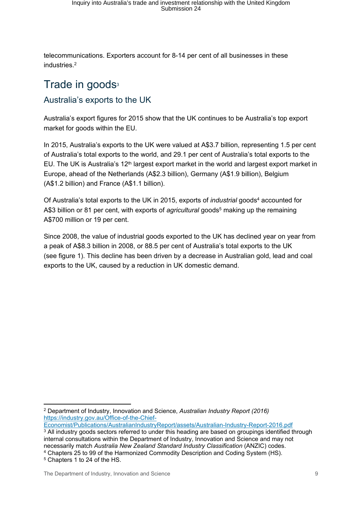telecommunications. Exporters account for 8-14 per cent of all businesses in these industries.<sup>2</sup>

## Trade in goods<sup>3</sup>

## Australia's exports to the UK

Australia's export figures for 2015 show that the UK continues to be Australia's top export market for goods within the EU.

In 2015, Australia's exports to the UK were valued at A\$3.7 billion, representing 1.5 per cent of Australia's total exports to the world, and 29.1 per cent of Australia's total exports to the EU. The UK is Australia's  $12<sup>th</sup>$  largest export market in the world and largest export market in Europe, ahead of the Netherlands (A\$2.3 billion), Germany (A\$1.9 billion), Belgium (A\$1.2 billion) and France (A\$1.1 billion).

Of Australia's total exports to the UK in 2015, exports of *industrial* goods<sup>4</sup> accounted for A\$3 billion or 81 per cent, with exports of *agricultural* goods<sup>5</sup> making up the remaining A\$700 million or 19 per cent.

Since 2008, the value of industrial goods exported to the UK has declined year on year from a peak of A\$8.3 billion in 2008, or 88.5 per cent of Australia's total exports to the UK (see figure 1). This decline has been driven by a decrease in Australian gold, lead and coal exports to the UK, caused by a reduction in UK domestic demand.

<sup>2</sup> Department of Industry, Innovation and Science, *Australian Industry Report (2016)*  https://industry.gov.au/Office-of-the-Chief-

Economist/Publications/AustralianIndustryReport/assets/Australian-Industry-Report-2016.pdf <sup>3</sup> All industry goods sectors referred to under this heading are based on groupings identified through internal consultations within the Department of Industry, Innovation and Science and may not necessarily match *Australia New Zealand Standard Industry Classification* (ANZIC) codes.

<sup>4</sup> Chapters 25 to 99 of the Harmonized Commodity Description and Coding System (HS).

<sup>5</sup> Chapters 1 to 24 of the HS.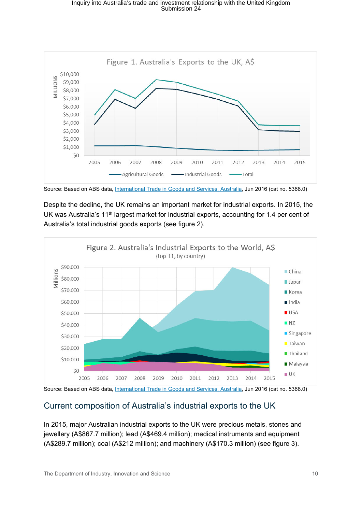

Source: Based on ABS data, International Trade in Goods and Services, Australia, Jun 2016 (cat no. 5368.0)

Despite the decline, the UK remains an important market for industrial exports. In 2015, the UK was Australia's 11<sup>th</sup> largest market for industrial exports, accounting for 1.4 per cent of Australia's total industrial goods exports (see figure 2).



Source: Based on ABS data, International Trade in Goods and Services, Australia, Jun 2016 (cat no. 5368.0)

### Current composition of Australia's industrial exports to the UK

In 2015, major Australian industrial exports to the UK were precious metals, stones and jewellery (A\$867.7 million); lead (A\$469.4 million); medical instruments and equipment (A\$289.7 million); coal (A\$212 million); and machinery (A\$170.3 million) (see figure 3).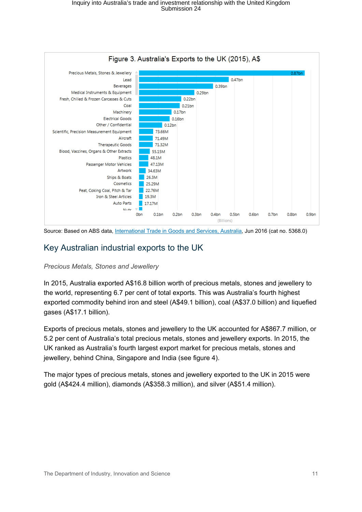

Source: Based on ABS data, International Trade in Goods and Services, Australia, Jun 2016 (cat no. 5368.0)

### Key Australian industrial exports to the UK

#### *Precious Metals, Stones and Jewellery*

In 2015, Australia exported A\$16.8 billion worth of precious metals, stones and jewellery to the world, representing 6.7 per cent of total exports. This was Australia's fourth highest exported commodity behind iron and steel (A\$49.1 billion), coal (A\$37.0 billion) and liquefied gases (A\$17.1 billion).

Exports of precious metals, stones and jewellery to the UK accounted for A\$867.7 million, or 5.2 per cent of Australia's total precious metals, stones and jewellery exports. In 2015, the UK ranked as Australia's fourth largest export market for precious metals, stones and jewellery, behind China, Singapore and India (see figure 4).

The major types of precious metals, stones and jewellery exported to the UK in 2015 were gold (A\$424.4 million), diamonds (A\$358.3 million), and silver (A\$51.4 million).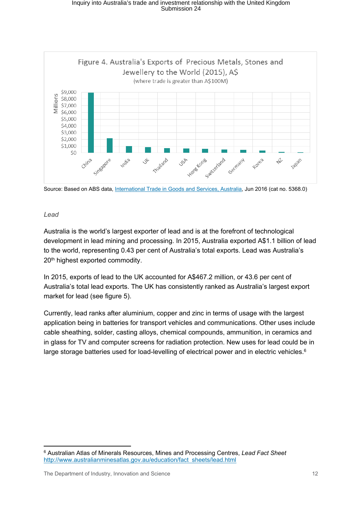

Source: Based on ABS data, International Trade in Goods and Services, Australia, Jun 2016 (cat no. 5368.0)

#### *Lead*

Australia is the world's largest exporter of lead and is at the forefront of technological development in lead mining and processing. In 2015, Australia exported A\$1.1 billion of lead to the world, representing 0.43 per cent of Australia's total exports. Lead was Australia's 20<sup>th</sup> highest exported commodity.

In 2015, exports of lead to the UK accounted for A\$467.2 million, or 43.6 per cent of Australia's total lead exports. The UK has consistently ranked as Australia's largest export market for lead (see figure 5).

Currently, lead ranks after aluminium, copper and zinc in terms of usage with the largest application being in batteries for transport vehicles and communications. Other uses include cable sheathing, solder, casting alloys, chemical compounds, ammunition, in ceramics and in glass for TV and computer screens for radiation protection. New uses for lead could be in large storage batteries used for load-levelling of electrical power and in electric vehicles.<sup>6</sup>

<sup>6</sup> Australian Atlas of Minerals Resources, Mines and Processing Centres, *Lead Fact Sheet* http://www.australianminesatlas.gov.au/education/fact sheets/lead.html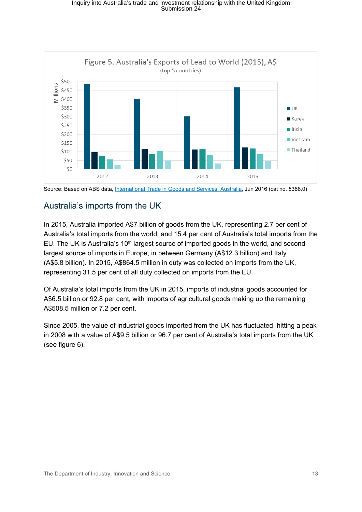

Source: Based on ABS data, International Trade in Goods and Services, Australia, Jun 2016 (cat no. 5368.0)

### Australia's imports from the UK

In 2015, Australia imported A\$7 billion of goods from the UK, representing 2.7 per cent of Australia's total imports from the world, and 15.4 per cent of Australia's total imports from the EU. The UK is Australia's 10<sup>th</sup> largest source of imported goods in the world, and second largest source of imports in Europe, in between Germany (A\$12.3 billion) and Italy (A\$5.8 billion). In 2015, A\$864.5 million in duty was collected on imports from the UK, representing 31.5 per cent of all duty collected on imports from the EU.

Of Australia's total imports from the UK in 2015, imports of industrial goods accounted for A\$6.5 billion or 92.8 per cent, with imports of agricultural goods making up the remaining A\$508.5 million or 7.2 per cent.

Since 2005, the value of industrial goods imported from the UK has fluctuated, hitting a peak in 2008 with a value of A\$9.5 billion or 96.7 per cent of Australia's total imports from the UK (see figure 6).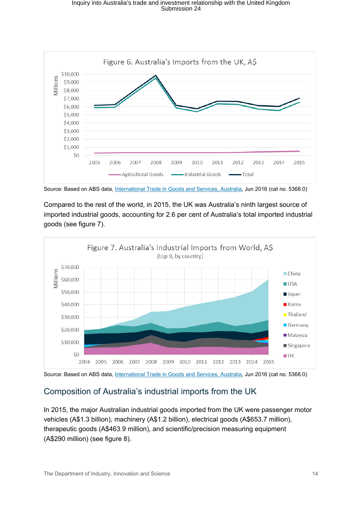

Source: Based on ABS data, International Trade in Goods and Services, Australia, Jun 2016 (cat no. 5368.0)

Compared to the rest of the world, in 2015, the UK was Australia's ninth largest source of imported industrial goods, accounting for 2.6 per cent of Australia's total imported industrial goods (see figure 7).



Source: Based on ABS data, International Trade in Goods and Services, Australia, Jun 2016 (cat no. 5368.0)

## Composition of Australia's industrial imports from the UK

In 2015, the major Australian industrial goods imported from the UK were passenger motor vehicles (A\$1.3 billion), machinery (A\$1.2 billion), electrical goods (A\$653.7 million), therapeutic goods (A\$463.9 million), and scientific/precision measuring equipment (A\$290 million) (see figure 8).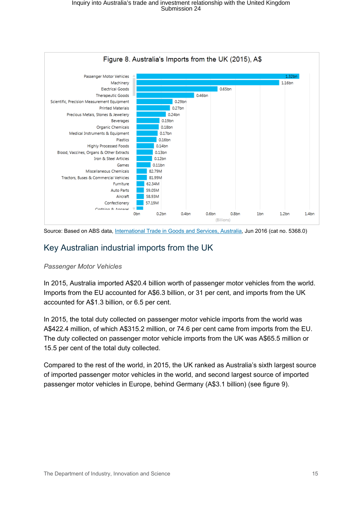

Source: Based on ABS data, International Trade in Goods and Services, Australia, Jun 2016 (cat no. 5368.0)

### Key Australian industrial imports from the UK

#### *Passenger Motor Vehicles*

In 2015, Australia imported A\$20.4 billion worth of passenger motor vehicles from the world. Imports from the EU accounted for A\$6.3 billion, or 31 per cent, and imports from the UK accounted for A\$1.3 billion, or 6.5 per cent.

In 2015, the total duty collected on passenger motor vehicle imports from the world was A\$422.4 million, of which A\$315.2 million, or 74.6 per cent came from imports from the EU. The duty collected on passenger motor vehicle imports from the UK was A\$65.5 million or 15.5 per cent of the total duty collected.

Compared to the rest of the world, in 2015, the UK ranked as Australia's sixth largest source of imported passenger motor vehicles in the world, and second largest source of imported passenger motor vehicles in Europe, behind Germany (A\$3.1 billion) (see figure 9).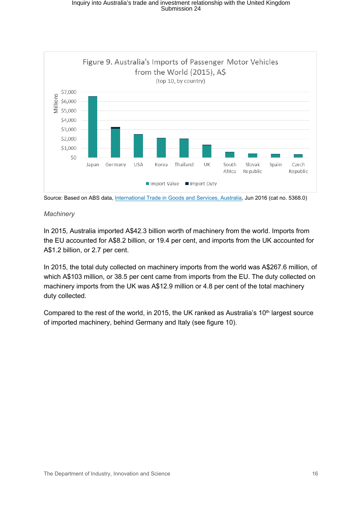

Source: Based on ABS data, International Trade in Goods and Services, Australia, Jun 2016 (cat no. 5368.0)

#### *Machinery*

In 2015, Australia imported A\$42.3 billion worth of machinery from the world. Imports from the EU accounted for A\$8.2 billion, or 19.4 per cent, and imports from the UK accounted for A\$1.2 billion, or 2.7 per cent.

In 2015, the total duty collected on machinery imports from the world was A\$267.6 million, of which A\$103 million, or 38.5 per cent came from imports from the EU. The duty collected on machinery imports from the UK was A\$12.9 million or 4.8 per cent of the total machinery duty collected.

Compared to the rest of the world, in 2015, the UK ranked as Australia's  $10<sup>th</sup>$  largest source of imported machinery, behind Germany and Italy (see figure 10).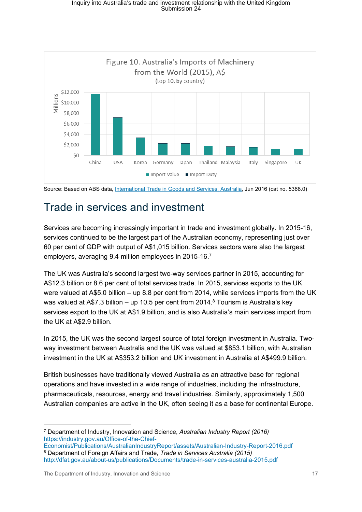

Source: Based on ABS data, International Trade in Goods and Services, Australia, Jun 2016 (cat no. 5368.0)

## Trade in services and investment

Services are becoming increasingly important in trade and investment globally. In 2015-16, services continued to be the largest part of the Australian economy, representing just over 60 per cent of GDP with output of A\$1,015 billion. Services sectors were also the largest employers, averaging 9.4 million employees in 2015-16.<sup>7</sup>

The UK was Australia's second largest two-way services partner in 2015, accounting for A\$12.3 billion or 8.6 per cent of total services trade. In 2015, services exports to the UK were valued at A\$5.0 billion – up 8.8 per cent from 2014, while services imports from the UK was valued at A\$7.3 billion – up 10.5 per cent from 2014.<sup>8</sup> Tourism is Australia's key services export to the UK at A\$1.9 billion, and is also Australia's main services import from the UK at A\$2.9 billion.

In 2015, the UK was the second largest source of total foreign investment in Australia. Twoway investment between Australia and the UK was valued at \$853.1 billion, with Australian investment in the UK at A\$353.2 billion and UK investment in Australia at A\$499.9 billion.

British businesses have traditionally viewed Australia as an attractive base for regional operations and have invested in a wide range of industries, including the infrastructure, pharmaceuticals, resources, energy and travel industries. Similarly, approximately 1,500 Australian companies are active in the UK, often seeing it as a base for continental Europe.

<sup>7</sup> Department of Industry, Innovation and Science, *Australian Industry Report (2016)*  https://industry.gov.au/Office-of-the-Chief-Economist/Publications/AustralianIndustryReport/assets/Australian-Industry-Report-2016.pdf

<sup>8</sup> Department of Foreign Affairs and Trade, *Trade in Services Australia (2015)*  http://dfat.gov.au/about-us/publications/Documents/trade-in-services-australia-2015.pdf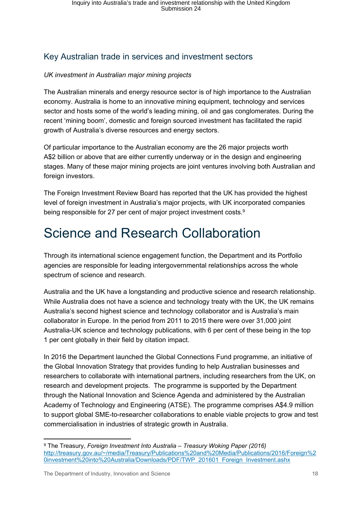## Key Australian trade in services and investment sectors

#### *UK investment in Australian major mining projects*

The Australian minerals and energy resource sector is of high importance to the Australian economy. Australia is home to an innovative mining equipment, technology and services sector and hosts some of the world's leading mining, oil and gas conglomerates. During the recent 'mining boom', domestic and foreign sourced investment has facilitated the rapid growth of Australia's diverse resources and energy sectors.

Of particular importance to the Australian economy are the 26 major projects worth A\$2 billion or above that are either currently underway or in the design and engineering stages. Many of these major mining projects are joint ventures involving both Australian and foreign investors.

The Foreign Investment Review Board has reported that the UK has provided the highest level of foreign investment in Australia's major projects, with UK incorporated companies being responsible for 27 per cent of major project investment costs.<sup>9</sup>

## Science and Research Collaboration

Through its international science engagement function, the Department and its Portfolio agencies are responsible for leading intergovernmental relationships across the whole spectrum of science and research.

Australia and the UK have a longstanding and productive science and research relationship. While Australia does not have a science and technology treaty with the UK, the UK remains Australia's second highest science and technology collaborator and is Australia's main collaborator in Europe. In the period from 2011 to 2015 there were over 31,000 joint Australia-UK science and technology publications, with 6 per cent of these being in the top 1 per cent globally in their field by citation impact.

In 2016 the Department launched the Global Connections Fund programme, an initiative of the Global Innovation Strategy that provides funding to help Australian businesses and researchers to collaborate with international partners, including researchers from the UK, on research and development projects. The programme is supported by the Department through the National Innovation and Science Agenda and administered by the Australian Academy of Technology and Engineering (ATSE). The programme comprises A\$4.9 million to support global SME-to-researcher collaborations to enable viable projects to grow and test commercialisation in industries of strategic growth in Australia.

The Department of Industry, Innovation and Science 18 and 18 and 18 and 18 and 18 and 18 and 18 and 18 and 18 and 18 and 18 and 18 and 18 and 18 and 18 and 18 and 18 and 18 and 18 and 18 and 18 and 18 and 18 and 18 and 18

<sup>9</sup> The Treasury, *Foreign Investment Into Australia – Treasury Woking Paper (2016)* http://treasury.gov.au/~/media/Treasury/Publications%20and%20Media/Publications/2016/Foreign%2 0investment%20into%20Australia/Downloads/PDF/TWP 201601 Foreign Investment.ashx